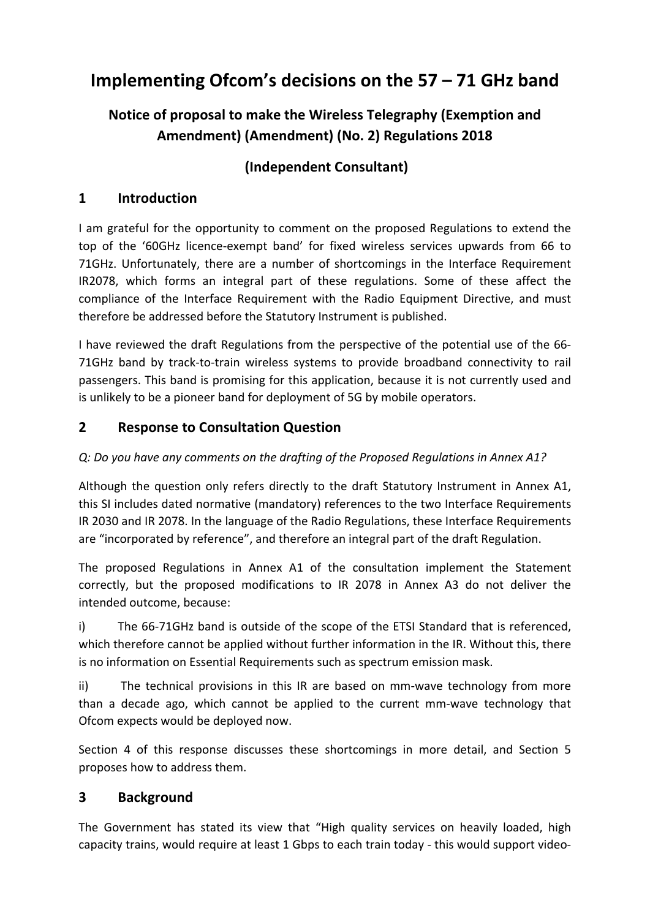# **Implementing Ofcom's decisions on the 57 – 71 GHz band**

# **Notice of proposal to make the Wireless Telegraphy (Exemption and Amendment) (Amendment) (No. 2) Regulations 2018**

# **(Independent Consultant)**

## **1 Introduction**

I am grateful for the opportunity to comment on the proposed Regulations to extend the top of the '60GHz licence-exempt band' for fixed wireless services upwards from 66 to 71GHz. Unfortunately, there are a number of shortcomings in the Interface Requirement IR2078, which forms an integral part of these regulations. Some of these affect the compliance of the Interface Requirement with the Radio Equipment Directive, and must therefore be addressed before the Statutory Instrument is published.

I have reviewed the draft Regulations from the perspective of the potential use of the 66- 71GHz band by track-to-train wireless systems to provide broadband connectivity to rail passengers. This band is promising for this application, because it is not currently used and is unlikely to be a pioneer band for deployment of 5G by mobile operators.

### **2 Response to Consultation Question**

#### *Q: Do you have any comments on the drafting of the Proposed Regulations in Annex A1?*

Although the question only refers directly to the draft Statutory Instrument in Annex A1, this SI includes dated normative (mandatory) references to the two Interface Requirements IR 2030 and IR 2078. In the language of the Radio Regulations, these Interface Requirements are "incorporated by reference", and therefore an integral part of the draft Regulation.

The proposed Regulations in Annex A1 of the consultation implement the Statement correctly, but the proposed modifications to IR 2078 in Annex A3 do not deliver the intended outcome, because:

i) The 66-71GHz band is outside of the scope of the ETSI Standard that is referenced, which therefore cannot be applied without further information in the IR. Without this, there is no information on Essential Requirements such as spectrum emission mask.

ii) The technical provisions in this IR are based on mm-wave technology from more than a decade ago, which cannot be applied to the current mm-wave technology that Ofcom expects would be deployed now.

Section 4 of this response discusses these shortcomings in more detail, and Section 5 proposes how to address them.

### **3 Background**

The Government has stated its view that "High quality services on heavily loaded, high capacity trains, would require at least 1 Gbps to each train today - this would support video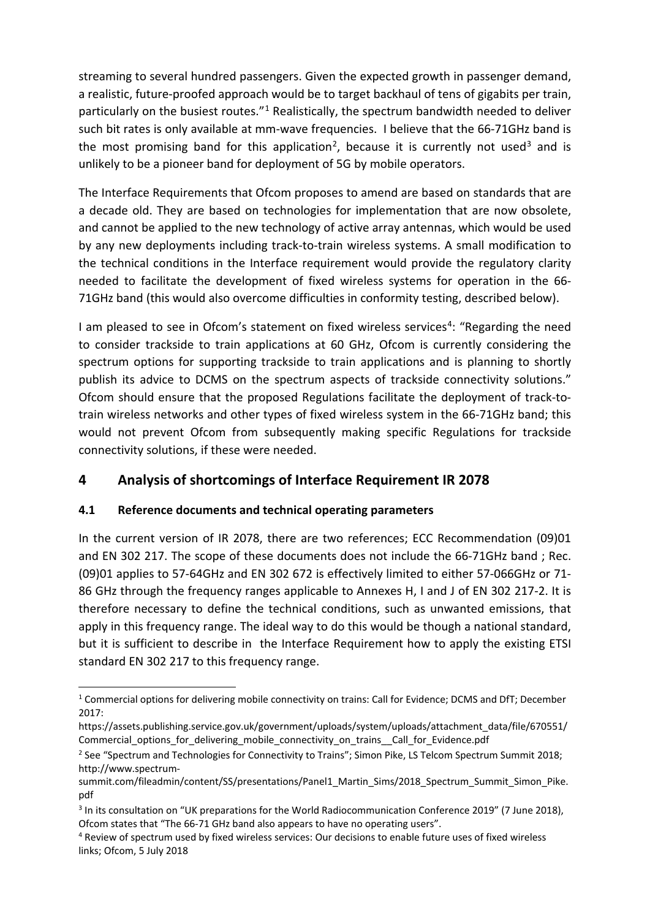streaming to several hundred passengers. Given the expected growth in passenger demand, a realistic, future-proofed approach would be to target backhaul of tens of gigabits per train, particularly on the busiest routes."<sup>[1](#page-1-0)</sup> Realistically, the spectrum bandwidth needed to deliver such bit rates is only available at mm-wave frequencies. I believe that the 66-71GHz band is the most promising band for this application<sup>[2](#page-1-1)</sup>, because it is currently not used<sup>[3](#page-1-2)</sup> and is unlikely to be a pioneer band for deployment of 5G by mobile operators.

<span id="page-1-5"></span>The Interface Requirements that Ofcom proposes to amend are based on standards that are a decade old. They are based on technologies for implementation that are now obsolete, and cannot be applied to the new technology of active array antennas, which would be used by any new deployments including track-to-train wireless systems. A small modification to the technical conditions in the Interface requirement would provide the regulatory clarity needed to facilitate the development of fixed wireless systems for operation in the 66- 71GHz band (this would also overcome difficulties in conformity testing, described below).

<span id="page-1-4"></span>I am pleased to see in Ofcom's statement on fixed wireless services<sup>[4](#page-1-3)</sup>: "Regarding the need to consider trackside to train applications at 60 GHz, Ofcom is currently considering the spectrum options for supporting trackside to train applications and is planning to shortly publish its advice to DCMS on the spectrum aspects of trackside connectivity solutions." Ofcom should ensure that the proposed Regulations facilitate the deployment of track-totrain wireless networks and other types of fixed wireless system in the 66-71GHz band; this would not prevent Ofcom from subsequently making specific Regulations for trackside connectivity solutions, if these were needed.

### **4 Analysis of shortcomings of Interface Requirement IR 2078**

#### **4.1 Reference documents and technical operating parameters**

In the current version of IR 2078, there are two references; ECC Recommendation (09)01 and EN 302 217. The scope of these documents does not include the 66-71GHz band ; Rec. (09)01 applies to 57-64GHz and EN 302 672 is effectively limited to either 57-066GHz or 71- 86 GHz through the frequency ranges applicable to Annexes H, I and J of EN 302 217-2. It is therefore necessary to define the technical conditions, such as unwanted emissions, that apply in this frequency range. The ideal way to do this would be though a national standard, but it is sufficient to describe in the Interface Requirement how to apply the existing ETSI standard EN 302 217 to this frequency range.

<span id="page-1-0"></span> $1$  Commercial options for delivering mobile connectivity on trains: Call for Evidence: DCMS and DfT; December 2017:

https://assets.publishing.service.gov.uk/government/uploads/system/uploads/attachment\_data/file/670551/ Commercial\_options\_for\_delivering\_mobile\_connectivity\_on\_trains\_\_Call\_for\_Evidence.pdf

<span id="page-1-1"></span><sup>&</sup>lt;sup>2</sup> See "Spectrum and Technologies for Connectivity to Trains"; Simon Pike, LS Telcom Spectrum Summit 2018; http://www.spectrum-

summit.com/fileadmin/content/SS/presentations/Panel1\_Martin\_Sims/2018\_Spectrum\_Summit\_Simon\_Pike. pdf

<span id="page-1-2"></span><sup>&</sup>lt;sup>3</sup> In its consultation on "UK preparations for the World Radiocommunication Conference 2019" (7 June 2018), Ofcom states that "The 66-71 GHz band also appears to have no operating users".

<span id="page-1-3"></span><sup>4</sup> Review of spectrum used by fixed wireless services: Our decisions to enable future uses of fixed wireless links; Ofcom, 5 July 2018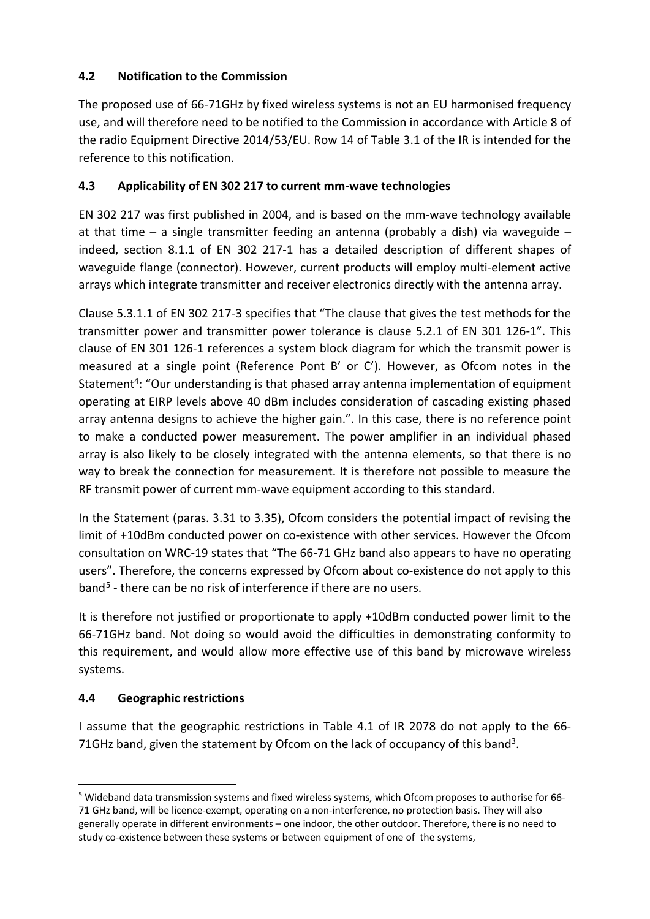#### **4.2 Notification to the Commission**

The proposed use of 66-71GHz by fixed wireless systems is not an EU harmonised frequency use, and will therefore need to be notified to the Commission in accordance with Article 8 of the radio Equipment Directive 2014/53/EU. Row 14 of Table 3.1 of the IR is intended for the reference to this notification.

#### **4.3 Applicability of EN 302 217 to current mm-wave technologies**

EN 302 217 was first published in 2004, and is based on the mm-wave technology available at that time – a single transmitter feeding an antenna (probably a dish) via waveguide – indeed, section 8.1.1 of EN 302 217-1 has a detailed description of different shapes of waveguide flange (connector). However, current products will employ multi-element active arrays which integrate transmitter and receiver electronics directly with the antenna array.

Clause 5.3.1.1 of EN 302 217-3 specifies that "The clause that gives the test methods for the transmitter power and transmitter power tolerance is clause 5.2.1 of EN 301 126-1". This clause of EN 301 126-1 references a system block diagram for which the transmit power is measured at a single point (Reference Pont B' or C'). However, as Ofcom notes in the Statement<sup>4</sup>: "Our understanding is that phased array antenna implementation of equipment operating at EIRP levels above 40 dBm includes consideration of cascading existing phased array antenna designs to achieve the higher gain.". In this case, there is no reference point to make a conducted power measurement. The power amplifier in an individual phased array is also likely to be closely integrated with the antenna elements, so that there is no way to break the connection for measurement. It is therefore not possible to measure the RF transmit power of current mm-wave equipment according to this standard.

In the Statement (paras. 3.31 to 3.35), Ofcom considers the potential impact of revising the limit of +10dBm conducted power on co-existence with other services. However the Ofcom consultation on WRC-19 states that "The 66-71 GHz band also appears to have no operating users". Therefore, the concerns expressed by Ofcom about co-existence do not apply to this band[5](#page-2-0) - there can be no risk of interference if there are no users.

It is therefore not justified or proportionate to apply +10dBm conducted power limit to the 66-71GHz band. Not doing so would avoid the difficulties in demonstrating conformity to this requirement, and would allow more effective use of this band by microwave wireless systems.

#### **4.4 Geographic restrictions**

I assume that the geographic restrictions in Table 4.1 of IR 2078 do not apply to the 66- 71GHz band, given the statement by Ofcom on the lack of occupancy of this band<sup>3</sup>.

<span id="page-2-0"></span> <sup>5</sup> Wideband data transmission systems and fixed wireless systems, which Ofcom proposes to authorise for 66- 71 GHz band, will be licence-exempt, operating on a non-interference, no protection basis. They will also generally operate in different environments – one indoor, the other outdoor. Therefore, there is no need to study co-existence between these systems or between equipment of one of the systems,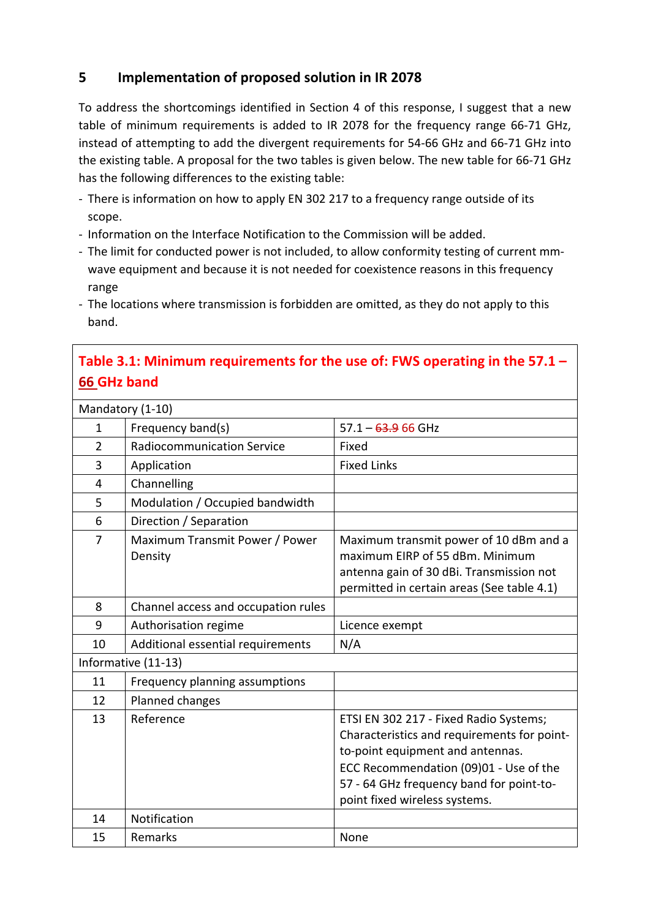### **5 Implementation of proposed solution in IR 2078**

To address the shortcomings identified in Section 4 of this response, I suggest that a new table of minimum requirements is added to IR 2078 for the frequency range 66-71 GHz, instead of attempting to add the divergent requirements for 54-66 GHz and 66-71 GHz into the existing table. A proposal for the two tables is given below. The new table for 66-71 GHz has the following differences to the existing table:

- There is information on how to apply EN 302 217 to a frequency range outside of its scope.
- Information on the Interface Notification to the Commission will be added.
- The limit for conducted power is not included, to allow conformity testing of current mmwave equipment and because it is not needed for coexistence reasons in this frequency range
- The locations where transmission is forbidden are omitted, as they do not apply to this band.

# **Table 3.1: Minimum requirements for the use of: FWS operating in the 57.1 – 66 GHz band**

| Mandatory (1-10)    |                                           |                                                                                                                                                                                                                                                  |  |
|---------------------|-------------------------------------------|--------------------------------------------------------------------------------------------------------------------------------------------------------------------------------------------------------------------------------------------------|--|
| $\mathbf{1}$        | Frequency band(s)                         | $57.1 - 63.966$ GHz                                                                                                                                                                                                                              |  |
| $\overline{2}$      | <b>Radiocommunication Service</b>         | Fixed                                                                                                                                                                                                                                            |  |
| 3                   | Application                               | <b>Fixed Links</b>                                                                                                                                                                                                                               |  |
| $\overline{4}$      | Channelling                               |                                                                                                                                                                                                                                                  |  |
| 5                   | Modulation / Occupied bandwidth           |                                                                                                                                                                                                                                                  |  |
| 6                   | Direction / Separation                    |                                                                                                                                                                                                                                                  |  |
| 7                   | Maximum Transmit Power / Power<br>Density | Maximum transmit power of 10 dBm and a<br>maximum EIRP of 55 dBm. Minimum<br>antenna gain of 30 dBi. Transmission not<br>permitted in certain areas (See table 4.1)                                                                              |  |
| 8                   | Channel access and occupation rules       |                                                                                                                                                                                                                                                  |  |
| 9                   | Authorisation regime                      | Licence exempt                                                                                                                                                                                                                                   |  |
| 10                  | Additional essential requirements         | N/A                                                                                                                                                                                                                                              |  |
| Informative (11-13) |                                           |                                                                                                                                                                                                                                                  |  |
| 11                  | Frequency planning assumptions            |                                                                                                                                                                                                                                                  |  |
| 12                  | Planned changes                           |                                                                                                                                                                                                                                                  |  |
| 13                  | Reference                                 | ETSI EN 302 217 - Fixed Radio Systems;<br>Characteristics and requirements for point-<br>to-point equipment and antennas.<br>ECC Recommendation (09)01 - Use of the<br>57 - 64 GHz frequency band for point-to-<br>point fixed wireless systems. |  |
| 14                  | Notification                              |                                                                                                                                                                                                                                                  |  |
| 15                  | Remarks                                   | None                                                                                                                                                                                                                                             |  |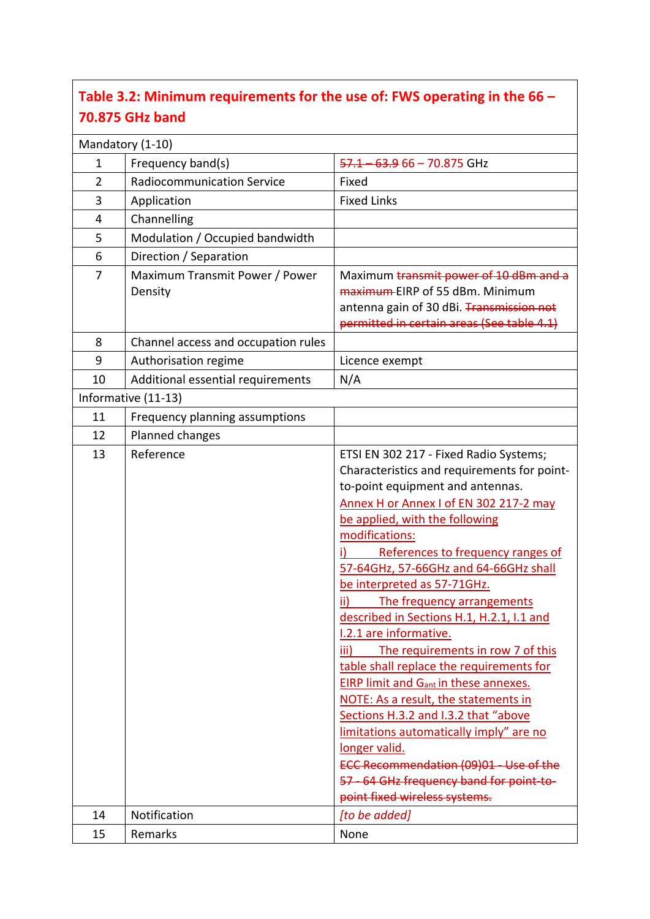# **Table 3.2: Minimum requirements for the use of: FWS operating in the 66 – 70.875 GHz band**

|                     | Mandatory (1-10)                          |                                                                                                                                                                                                                                                                                                                                                                                                                                                                                                                                                                                                                                                                                                                                                                                                                                                              |
|---------------------|-------------------------------------------|--------------------------------------------------------------------------------------------------------------------------------------------------------------------------------------------------------------------------------------------------------------------------------------------------------------------------------------------------------------------------------------------------------------------------------------------------------------------------------------------------------------------------------------------------------------------------------------------------------------------------------------------------------------------------------------------------------------------------------------------------------------------------------------------------------------------------------------------------------------|
| 1                   | Frequency band(s)                         | 57.1<br>63.9 66 - 70.875 GHz                                                                                                                                                                                                                                                                                                                                                                                                                                                                                                                                                                                                                                                                                                                                                                                                                                 |
| $\overline{2}$      | <b>Radiocommunication Service</b>         | Fixed                                                                                                                                                                                                                                                                                                                                                                                                                                                                                                                                                                                                                                                                                                                                                                                                                                                        |
| 3                   | Application                               | <b>Fixed Links</b>                                                                                                                                                                                                                                                                                                                                                                                                                                                                                                                                                                                                                                                                                                                                                                                                                                           |
| 4                   | Channelling                               |                                                                                                                                                                                                                                                                                                                                                                                                                                                                                                                                                                                                                                                                                                                                                                                                                                                              |
| 5                   | Modulation / Occupied bandwidth           |                                                                                                                                                                                                                                                                                                                                                                                                                                                                                                                                                                                                                                                                                                                                                                                                                                                              |
| 6                   | Direction / Separation                    |                                                                                                                                                                                                                                                                                                                                                                                                                                                                                                                                                                                                                                                                                                                                                                                                                                                              |
| $\overline{7}$      | Maximum Transmit Power / Power<br>Density | Maximum transmit power of 10 dBm and a<br>maximum-EIRP of 55 dBm. Minimum<br>antenna gain of 30 dBi. Transmission not<br>permitted in certain areas (See table 4.1)                                                                                                                                                                                                                                                                                                                                                                                                                                                                                                                                                                                                                                                                                          |
| 8                   | Channel access and occupation rules       |                                                                                                                                                                                                                                                                                                                                                                                                                                                                                                                                                                                                                                                                                                                                                                                                                                                              |
| 9                   | Authorisation regime                      | Licence exempt                                                                                                                                                                                                                                                                                                                                                                                                                                                                                                                                                                                                                                                                                                                                                                                                                                               |
| 10                  | Additional essential requirements         | N/A                                                                                                                                                                                                                                                                                                                                                                                                                                                                                                                                                                                                                                                                                                                                                                                                                                                          |
| Informative (11-13) |                                           |                                                                                                                                                                                                                                                                                                                                                                                                                                                                                                                                                                                                                                                                                                                                                                                                                                                              |
| 11                  | Frequency planning assumptions            |                                                                                                                                                                                                                                                                                                                                                                                                                                                                                                                                                                                                                                                                                                                                                                                                                                                              |
| 12                  | Planned changes                           |                                                                                                                                                                                                                                                                                                                                                                                                                                                                                                                                                                                                                                                                                                                                                                                                                                                              |
| 13                  | Reference                                 | ETSI EN 302 217 - Fixed Radio Systems;<br>Characteristics and requirements for point-<br>to-point equipment and antennas.<br>Annex H or Annex I of EN 302 217-2 may<br>be applied, with the following<br>modifications:<br>References to frequency ranges of<br>57-64GHz, 57-66GHz and 64-66GHz shall<br>be interpreted as 57-71GHz.<br>ii)<br>The frequency arrangements<br>described in Sections H.1, H.2.1, I.1 and<br>1.2.1 are informative.<br>The requirements in row 7 of this<br>iii)<br>table shall replace the requirements for<br><b>EIRP limit and Gant in these annexes.</b><br>NOTE: As a result, the statements in<br>Sections H.3.2 and I.3.2 that "above<br>limitations automatically imply" are no<br>longer valid.<br>ECC Recommendation (09)01 - Use of the<br>57 - 64 GHz frequency band for point-to-<br>point fixed wireless systems. |
| 14                  | Notification                              | [to be added]                                                                                                                                                                                                                                                                                                                                                                                                                                                                                                                                                                                                                                                                                                                                                                                                                                                |
| 15                  | Remarks                                   | None                                                                                                                                                                                                                                                                                                                                                                                                                                                                                                                                                                                                                                                                                                                                                                                                                                                         |